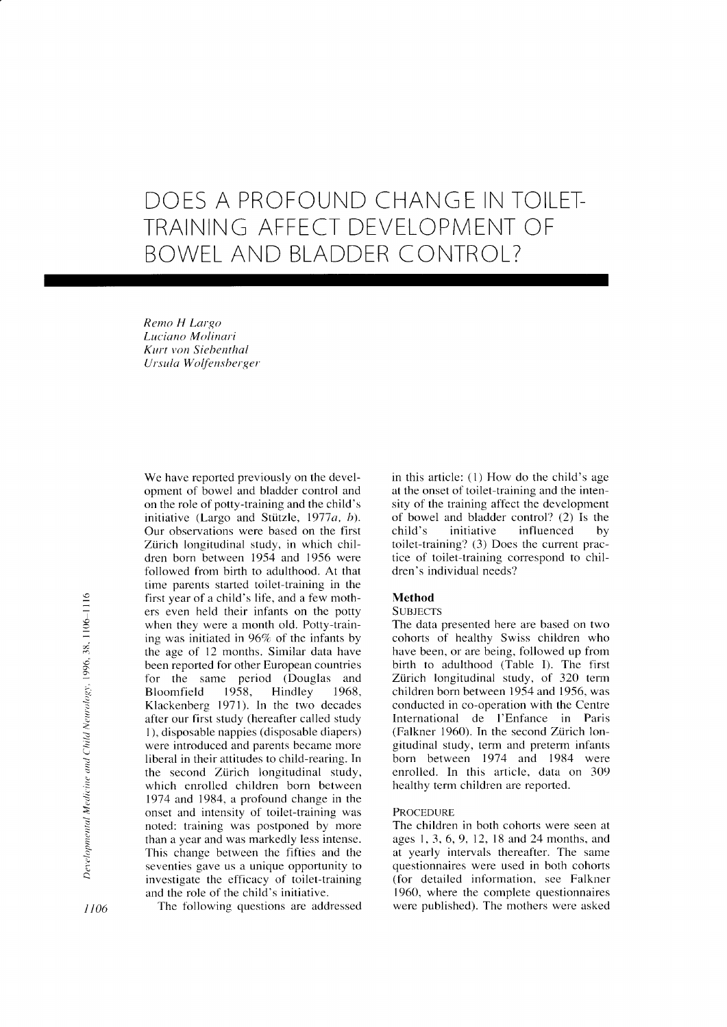# DOES A PROFOUND CHANGE IN TOILET-TRAINING AFFECT DEVELOPMENT OF BOWEL AND BLADDER CONTROL?

Remo H Largo Luciano Molinari Kurt von Siebenthal Ursula Woffensberger

We have reported previously on the development of bowel and bladder control and on the role of potty-training and the child's initiative (Largo and Stützle, 1977 $a$ ,  $b$ ). Our observations were based on the first Zirich longitudinal study, in which children born between 1954 and 1956 were followed from birth to adulthood. At that time parents started toilet-training in the first year of a child's life, and a few mothers even held their infants on the potty when they were a month old. Potty-training was initiated in 96% of the infants by the age of l2 months. Similar data have been reported for other European countries for the same period (Douglas and<br>Bloomfield 1958, Hindley 1968, Bloomfield 1958, Hindley 1968, Klackenberg 1971). In the two decades after our first study (hereafter called study I ), disposable nappies (disposable diapers) were introduced and parents became more liberal in their attitudes to child-rearing. In the second Zirich longitudinal study, which enrolled children born between 1914 and 1984, a profound change in the onset and intensity of toilet-training was noted: training was postponed by more than a year and was markedly less intense. This change between the fifties and the seventies gave us a unique opportunity to investigate the efficacy of toilet-training and the role of the child's initiative.

in this article: (l) How do the child's age at the onset of toilet-training and the intensity of the training affect the development of bowel and bladder control? (2) Is the child's initiative influenced by toilet-training? (3) Does the current practice of toilet-training correspond to children's individual needs?

# Method

# **SURIECTS**

The data presented here are based on two cohorts of healthy Swiss children who have been, or are being, followed up from birth to adulthood (Table I). The first Zürich longitudinal study, of 320 term children born between 1954 and 1956. was conducted in co-operation with the Centre International de l'Enfance in Paris (Falkner 1960). In the second Ziirich longitudinal study, term and preterm infants born between 1974 and 1984 were enrolled. In this article. data on 309 healthy term children are reported.

## **PROCEDURE**

The children in both cohorts were seen at ages 1,3,6,9,12, 18 and 24 months, and at yearly intervals thereafter. The same questionnaires were used in both cohorts (for detailed infbrrnation, see Falkner 1960, where the complete questionnaires

 $1106$  The following questions are addressed were published). The mothers were asked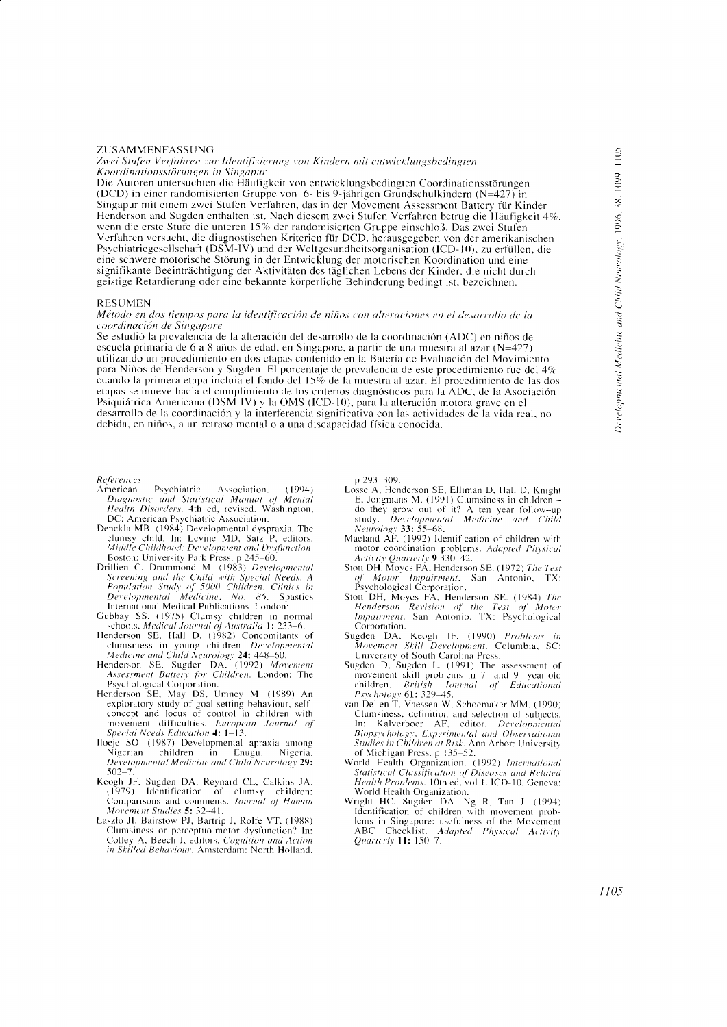## ZUSAMMENFASSUNG

Zwei Stufen Verfahren zur Identifizierung von Kindern mit entwicklungsbedingten Koordinationsstörungen in Singapur

Die Autoren untersuchten die Häufigkeit von entwicklungsbedingten Coordinationsstörungen (DCD) in einer randomisierten Gruppe von 6- bis 9-jährigen Grundschulkindern  $(N=427)$  in Singapur mit einem zwei Stufen Verfahren, das in der Movement Assessment Battery für Kinder Henderson and Sugden enthalten ist. Nach diesem zwei Stufen Verfahren betrug die Häufigkeit 4%. wenn die erste Stufe die unteren 15% der randomisierten Gruppe einschloß. Das zwei Stufen Verfahren versucht, die diagnostischen Kriterien für DCD, herausgegeben von der amerikanischen Psychiatriegesellschaft (DSM-IV) und der Weltgesundheitsorganisation (ICD-10), zu erfüllen, die eine schwere motorische Störung in der Entwicklung der motorischen Koordination und eine signifikante Beeinträchtigung der Aktivitäten des täglichen Lebens der Kinder, die nicht durch geistige Retardierung oder eine bekannte körperliche Behinderung bedingt ist, bezeichnen.

#### **RESUMEN**

Método en dos tiempos para la identificación de niños con alteraciones en el desarrollo de la coordinación de Singapore

Se estudió la prevalencia de la alteración del desarrollo de la coordinación (ADC) en niños de escuela primaria de 6 a 8 años de edad, en Singapore, a partir de una muestra al azar (N=427) utilizando un procedimiento en dos etapas contenido en la Batería de Evaluación del Movimiento para Niños de Henderson y Sugden. El porcentaje de prevalencia de este procedimiento fue del 4% cuando la primera etapa incluia el fondo del 15% de la muestra al azar. El procedimiento de las dos etapas se mueve hacia el cumplimiento de los criterios diagnósticos para la ADC, de la Asociación Psiquiátrica Americana (DSM-IV) y la OMS (ICD-10), para la alteración motora grave en el desarrollo de la coordinación y la interferencia significativa con las actividades de la vida real, no debida, en niños, a un retraso mental o a una discapacidad física conocida.

References

- Psychiatric Association.  $(1994)$ American Diagnostic and Statistical Manual of Mental<br>Health Disorders. 4th ed, revised. Washington,<br>DC: American Psychiatric Association.
- Denckla MB. (1984) Developmental dyspraxia. The clumsy child. In: Levine MD, Satz P, editors.<br>Middle Childhood: Development and Dysfunction. Boston: University Park Press. p 245-60.
- Boston: Cliversity Park Press, p 243–60.<br>Drillien C, Drummond M. (1983) Developmental<br>Screening and the Child with Special Needs. A<br>Population Study of 5000 Children. Clinics in<br>Developmental Medicine, No. 86. Spastics International Medical Publications. London:
- 
- International Medical Publications. London:<br>
Gubbay SS. (1975) Clumsy children in normal<br>
schools. Medical Journal of Australia 1: 233–6.<br>
Henderson SE, Hall D. (1982) Concomitants of<br>
clumsiness in young children. *Develo*
- Assessment Battery for Children. London: The Psychological Corporation.
- Henderson SE, May DS, Umney M. (1989) An<br>exploratory study of goal-setting behaviour, self-<br>concept and locus of control in children with movement difficulties. European Journal of Special Needs Education 4: 1-13.
- Iloeje SO. (1987) Developmental apraxia among Nigerian children in Enigu, Nigeria.<br>Developmental Medicine and Child Neurology 29:<br>502–7.
- Keogh JF, Sugden DA, Reynard CL, Calkins JA. (1979) Identification of clumsy children: Comparisons and comments. Journal of Human Movement Studies 5: 32-41.<br>Laszlo JI, Bairstow PJ, Bartrip J, Rolfe VT. (1988)
- Clumsiness or perceptuo-motor dysfunction? In:<br>Colley A, Beech J, editors, *Cognition and Action* in Skilled Behaviour. Amsterdam: North Holland,

p 293-309.

- Losse A, Henderson SE, Elliman D, Hall D, Knight E. Jongmans M. (1991) Clumsiness in children do they grow out of it? A ten year follow-up<br>study. *Developmental* Medicine and Child<br>Neurology 33: 55–68.
- Maeland AF. (1992) Identification of children with motor coordination problems. Adapted Physical<br>Activity Quarterly 9 330–42.
- Stott DH, Moyes FA, Henderson SE. (1972) The Test of Motor Impairment. San Antonio, TX:<br>Psychological Corporation.
- Stott DH, Moyes FA, Henderson SE. (1984) The<br>Henderson Revision of the Test of Motor Impairment. San Antonio, TX: Psychological Corporation.
- Keogh JF. (1990) Problems in Sugden DA. Movement Skill Development. Columbia, SC: Diversity of South Carolina Press.<br>Sugden D, Sugden L. (1991) The assessment of
- movement skill problems in 7- and 9- year-old children. *British Journal* of *Educational*<br>*Psychology* 61: 329–45.<br>van Dellen T, Vaessen W, Schoemaker MM. (1990)
- Clumsiness: definition and selection of subjects.<br>In: Kalverboer AF, editor. *Developmental* **Biopsychology**, Experimental and Observational Studies in Children at Risk. Ann Arbor: University
- of Michigan Press, p 135–52.<br>World Health Organization. (1992) International<br>Statistical Classification of Diseases and Related Health Problems. 10th ed, vol 1. ICD-10. Geneva: World Health Organization.
- Wright HC, Sugden DA, Ng R, Tan J. (1994) Identification of children with movement prob-Figure in Singapore: usefulness of the Movement<br>ABC Checklist. *Adapted Physical Activity*<br>Quarterly 11: 150–7.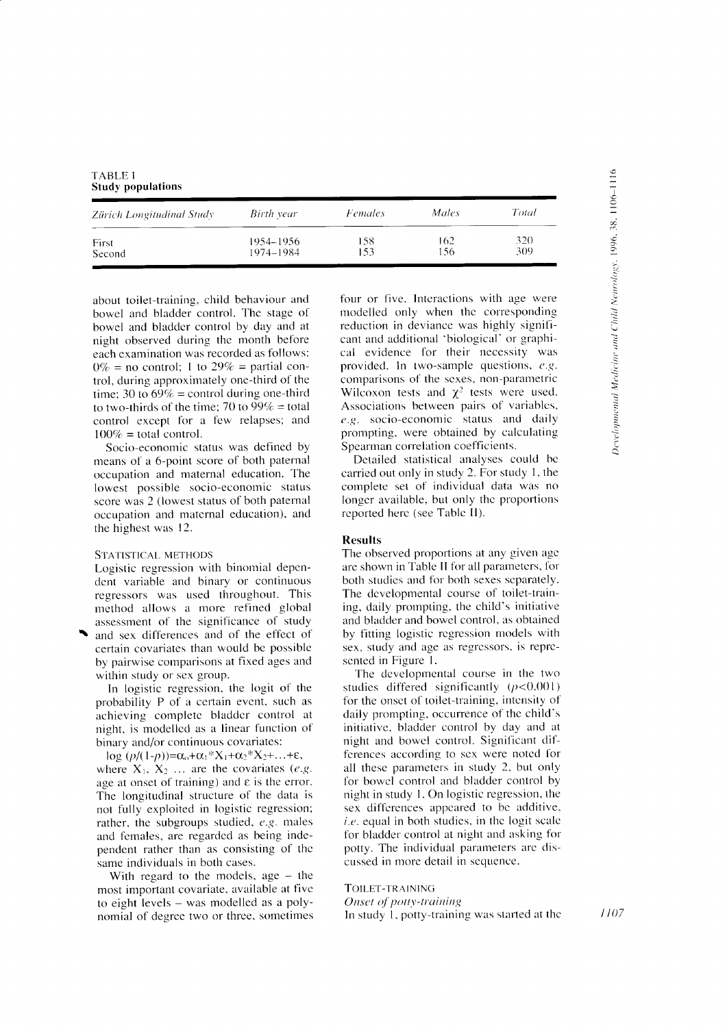| TABLE I |                          |
|---------|--------------------------|
|         | <b>Study populations</b> |

| Zürich Longitudinal Study | Birth year | <i>Females</i> | Males | Total |
|---------------------------|------------|----------------|-------|-------|
| First                     | 1954–1956  | 158            | 162   | 320   |
| Second                    | 1974-1984  | 153            | -56   | 309   |

about toilet-training, child behaviour and bowel and bladder control. The stage of bowel and bladder control by day and at night observed during the month before each examination was recorded as follows:  $0\%$  = no control; 1 to 29% = partial control, during approximately one-third of the time; 30 to  $69\%$  = control during one-third to two-thirds of the time; 70 to  $99\%$  = total control except for a few relapses; and  $100\%$  = total control.

Socio-economic status was defined by means of a 6-point score of both paternal occupation and maternal education. The lowest possible socio-economic status score was 2 (lowest status of both paternal occupation and maternal education), and the highest was 12.

#### STATISTICAL METHODS

Logistic regression with binomial dependent variable and binary or continuous regressors was used throughout. This method allows a more refined global assessment of the significance of study and sex differences and of the effect of

certain covariates than would be possible by pairwise comparisons at fixed ages and within study or sex group.

In logistic regression, the logit of the probability P of a certain event, such as achieving complete bladder control at night, is modelled as a linear function of binary and/or continuous covariates:

 $\log (p/(1-p)) = \alpha_0 + \alpha_1 * X_1 + \alpha_2 * X_2 + ... + \epsilon,$ where  $X_1$ ,  $X_2$  ... are the covariates (e.g. age at onset of training) and  $\varepsilon$  is the error. The longitudinal structure of the data is not fully exploited in logistic regression; rather, the subgroups studied,  $e.g.$  males and females, are regarded as being independent rather than as consisting of the same individuals in both cases.

With regard to the models, age  $-$  the most important covariate, available at five to eight levels - was modelled as a polynomial of degree two or three, sometimes four or five. Interactions with age were modelled only when the corresponding reduction in deviance was highly significant and additional 'biological' or graphical evidence for their necessity was provided. In two-sample questions, e.g. comparisons of the sexes, non-parametric Wilcoxon tests and  $\chi^2$  tests were used. Associations between pairs of variables, e.g. socio-economic status and daily prompting, were obtained by calculating Spearman correlation coefficients.

Detailed statistical analyses could be carried out only in study 2. For study 1, the complete set of individual data was no longer available, but only the proportions reported here (see Table II).

# **Results**

The observed proportions at any given age are shown in Table II for all parameters, for both studies and for both sexes separately. The developmental course of toilet-training, daily prompting, the child's initiative and bladder and bowel control, as obtained by fitting logistic regression models with sex, study and age as regressors, is represented in Figure 1.

The developmental course in the two studies differed significantly  $(p<0.001)$ for the onset of toilet-training, intensity of daily prompting, occurrence of the child's initiative, bladder control by day and at night and bowel control. Significant differences according to sex were noted for all these parameters in study 2, but only for bowel control and bladder control by night in study 1. On logistic regression, the sex differences appeared to be additive, *i.e.* equal in both studies, in the logit scale for bladder control at night and asking for potty. The individual parameters are discussed in more detail in sequence.

TOILET-TRAINING Onset of potty-training In study 1, potty-training was started at the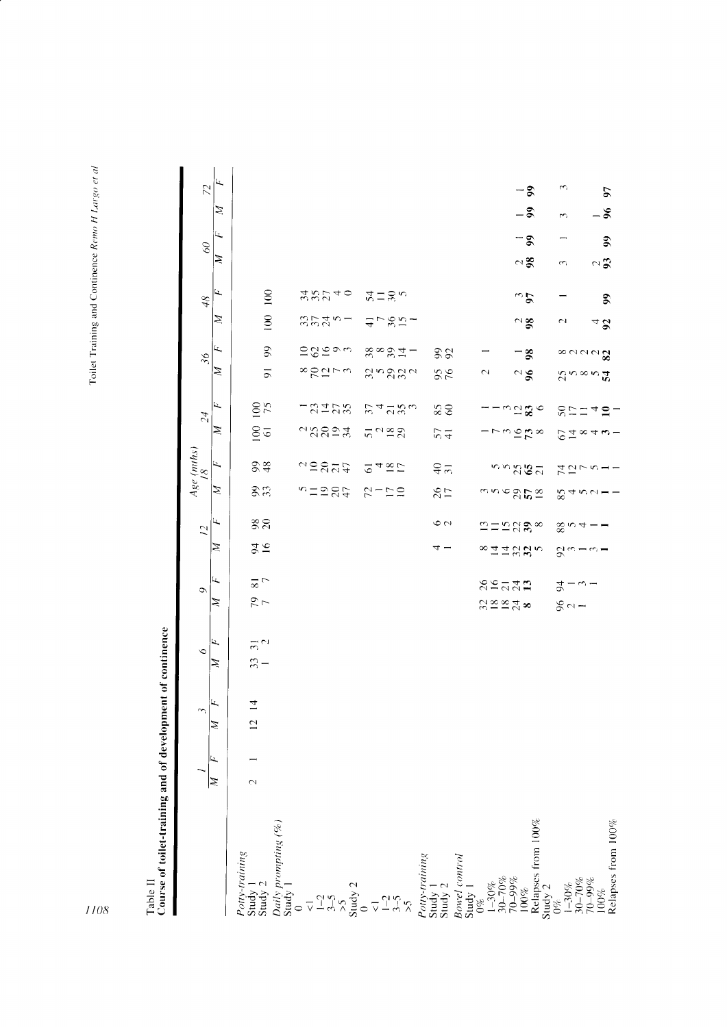Table II<br>Course of toilet-training and of development of continence

|                                                                                                                                                                                                                                                                                                                                                                                                                                                                                                   |        | $\sim$                           | Ó                       | Ć                                       |                                            | $\overline{C}$ |                                  | $\begin{array}{c} Age\ (mths)\\ 18\ \end{array}$ |                                       | $\overline{54}$    |                                  | $\mathcal{S}$                                                                 |                | 48             | $\delta$ 0 |              |      | 72   |
|---------------------------------------------------------------------------------------------------------------------------------------------------------------------------------------------------------------------------------------------------------------------------------------------------------------------------------------------------------------------------------------------------------------------------------------------------------------------------------------------------|--------|----------------------------------|-------------------------|-----------------------------------------|--------------------------------------------|----------------|----------------------------------|--------------------------------------------------|---------------------------------------|--------------------|----------------------------------|-------------------------------------------------------------------------------|----------------|----------------|------------|--------------|------|------|
|                                                                                                                                                                                                                                                                                                                                                                                                                                                                                                   | Z      | Ŀ,<br>Ź                          | Ŀ,<br>Ź                 | Ц.<br>Ź                                 | Z                                          | ц              | Ź                                | ĹL,                                              | Z                                     | Ц.,                | Þ                                | щ,                                                                            | Z              | Щ,             | Z          | Ц,           | Z    | Ц.,  |
| <i>Potty-training</i><br>Study 1<br>Study 2<br><i>Daily prompting (%)</i><br>$D \text{ and } D \text{ and } D \text{ and } D \text{ and } D \text{ and } D \text{ and } D \text{ and } D \text{ and } D \text{ and } D \text{ and } D \text{ and } D \text{ and } D \text{ and } D \text{ and } D \text{ and } D \text{ and } D \text{ and } D \text{ and } D \text{ and } D \text{ and } D \text{ and } D \text{ and } D \text{ and } D \text{ and } D \text{ and } D \text{ and } D \text{ and$ | $\sim$ | $\overline{4}$<br>$\overline{C}$ | $\frac{1}{2}$<br>$33 -$ | $\frac{8}{7}$<br>$\frac{1}{2}$          | $\frac{91}{6}$                             | 88             | 3.3                              | 28                                               | $rac{6}{6}$                           | 100                | $\overline{9}$                   | $\overline{9}$                                                                | 100            | 100            |            |              |      |      |
|                                                                                                                                                                                                                                                                                                                                                                                                                                                                                                   |        |                                  |                         |                                         |                                            |                |                                  |                                                  |                                       |                    |                                  |                                                                               |                |                |            |              |      |      |
|                                                                                                                                                                                                                                                                                                                                                                                                                                                                                                   |        |                                  |                         |                                         |                                            |                |                                  |                                                  |                                       |                    |                                  |                                                                               |                |                |            |              |      |      |
|                                                                                                                                                                                                                                                                                                                                                                                                                                                                                                   |        |                                  |                         |                                         |                                            |                | $n = 285$                        | 12877                                            | $\alpha$ 322 $\alpha$                 | $-2122$            | *RULW                            | ≘⊗≌⊙w                                                                         | 35451          | 48240          |            |              |      |      |
|                                                                                                                                                                                                                                                                                                                                                                                                                                                                                                   |        |                                  |                         |                                         |                                            |                |                                  |                                                  |                                       |                    |                                  |                                                                               |                |                |            |              |      |      |
|                                                                                                                                                                                                                                                                                                                                                                                                                                                                                                   |        |                                  |                         |                                         |                                            |                | $2 - 52$                         | 248D                                             | $5^{12}22$                            | 24280              | angaan                           | $\overset{\infty}{\circ}$ $\overset{\infty}{\circ}$ $\overset{\infty}{\circ}$ | $1 - 87 -$     | $22 - 8$       |            |              |      |      |
|                                                                                                                                                                                                                                                                                                                                                                                                                                                                                                   |        |                                  |                         |                                         |                                            |                |                                  |                                                  |                                       |                    |                                  |                                                                               |                |                |            |              |      |      |
|                                                                                                                                                                                                                                                                                                                                                                                                                                                                                                   |        |                                  |                         |                                         | ₹,                                         | $\circ$ $\sim$ | $\frac{26}{17}$                  | $rac{1}{2}$                                      | 57                                    | $\frac{6}{5}$      | $\frac{95}{6}$                   | 82                                                                            |                |                |            |              |      |      |
| <i>Potty-training</i><br>Study 1<br>Study 2<br><i>Bowel control</i><br>Bowel control<br>$16\%$<br>Study 2<br>100%<br>100%<br>Relapses from 100%<br>Study 2<br>Study 2                                                                                                                                                                                                                                                                                                                             |        |                                  |                         |                                         |                                            |                |                                  |                                                  |                                       |                    |                                  |                                                                               |                |                |            |              |      |      |
|                                                                                                                                                                                                                                                                                                                                                                                                                                                                                                   |        |                                  |                         | 82727<br>$R \cong R$ $\cong R$ $\infty$ | $\infty$ $\exists$ $\pm$ $\infty$ $\omega$ | $m = n$ ga     |                                  |                                                  |                                       |                    | $\mathbf{\sim}$                  |                                                                               |                |                |            |              |      |      |
|                                                                                                                                                                                                                                                                                                                                                                                                                                                                                                   |        |                                  |                         |                                         |                                            |                | $m \circ \mathcal{S} \mathbb{Z}$ | nngga                                            | $-$ rmgn $\approx$                    | $-$ ന് മുത $\circ$ |                                  |                                                                               |                |                |            |              |      |      |
|                                                                                                                                                                                                                                                                                                                                                                                                                                                                                                   |        |                                  |                         |                                         |                                            |                |                                  |                                                  |                                       |                    | $\frac{2}{3}$                    | $-$ 8                                                                         | $\frac{2}{98}$ | $\frac{3}{2}$  | $\approx$  | $-8$         | $-3$ | $-5$ |
|                                                                                                                                                                                                                                                                                                                                                                                                                                                                                                   |        |                                  |                         |                                         |                                            |                |                                  |                                                  |                                       |                    |                                  |                                                                               |                |                |            |              |      |      |
| $\begin{array}{l} 1 - 30\% \\ 30 - 70\% \\ 70 - 99\% \\ 100\% \end{array}$                                                                                                                                                                                                                                                                                                                                                                                                                        |        |                                  |                         | $2 - \omega -$<br>$80 -$                | 5. w -                                     | 804            | 8400                             | ユロレク                                             | $6\overline{4}$ $\infty$ 4 $\omega$ - | $82749 -$          | $5^{\circ}$ $\sim$ $\sim$ $\sim$ | ∞ ๛๛๛ <b>ฃ</b>                                                                | $\sim$         |                | 3          |              | 3    | S    |
|                                                                                                                                                                                                                                                                                                                                                                                                                                                                                                   |        |                                  |                         |                                         |                                            |                |                                  |                                                  |                                       |                    |                                  |                                                                               | $4\,$ $\sigma$ |                | $\sim$ 3   |              | $-8$ |      |
| Relapses from 100%                                                                                                                                                                                                                                                                                                                                                                                                                                                                                |        |                                  |                         |                                         |                                            |                |                                  |                                                  |                                       |                    |                                  |                                                                               |                | $\mathfrak{g}$ |            | $\mathbf{5}$ |      | 57   |

 $1108$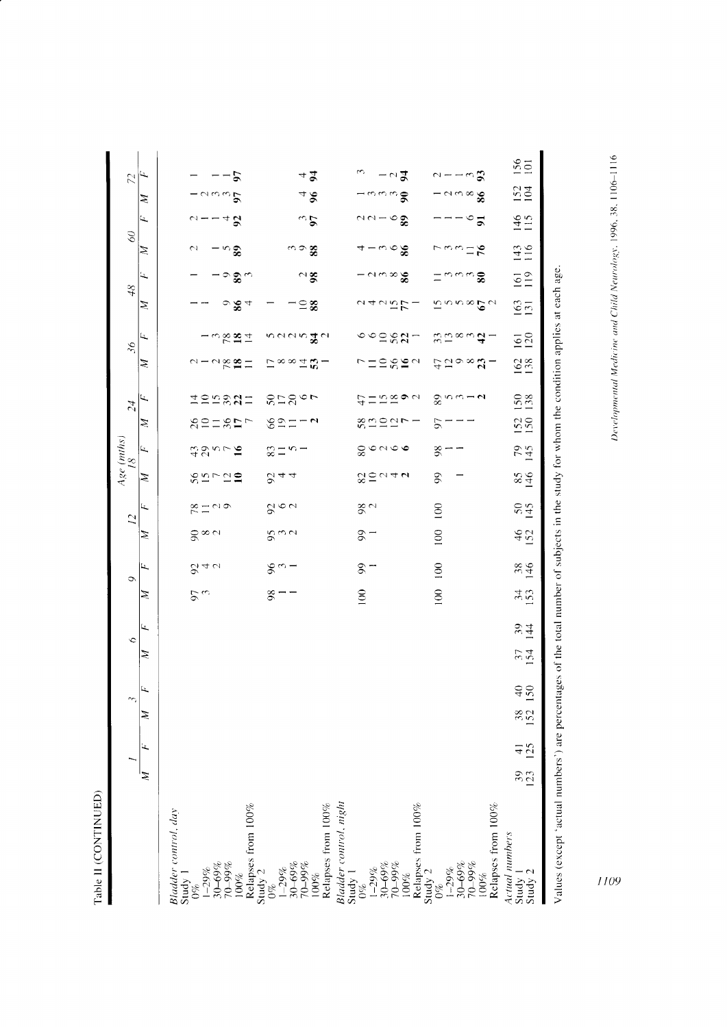${\bf Table \ II}\ ({\bf CONTINUED})$ 

|                                                                                                                                          |                 |              |                     | $\widetilde{\phantom{a}}$ | $\circ$    |                  | Ó               |                 |                 | $\overline{12}$                                | Age (mths)<br>18 |                                       |                          | 24                | $\mathcal{S}6$    |                                                          | 48                                 |                           | $\mathcal{S}$                   |                      |                                | $\tilde{z}$                    |
|------------------------------------------------------------------------------------------------------------------------------------------|-----------------|--------------|---------------------|---------------------------|------------|------------------|-----------------|-----------------|-----------------|------------------------------------------------|------------------|---------------------------------------|--------------------------|-------------------|-------------------|----------------------------------------------------------|------------------------------------|---------------------------|---------------------------------|----------------------|--------------------------------|--------------------------------|
|                                                                                                                                          | Z               | Ŧ,           | Ź                   | Ц,                        | Z          | ĹŁ,              | Ź               | щ               | Ź               | Ц,                                             | Z                | Ŀ,                                    | Z                        | 4                 | Ź                 | Ц,                                                       | Ź                                  | Ц,                        | Z                               | Ω,                   | Ź                              | استع                           |
| Bladder control, day                                                                                                                     |                 |              |                     |                           |            |                  |                 |                 |                 |                                                |                  |                                       |                          |                   |                   |                                                          |                                    |                           |                                 |                      |                                |                                |
| Study 1<br>$0\%$                                                                                                                         |                 |              |                     |                           |            |                  | <u>و ره</u>     |                 |                 |                                                |                  |                                       |                          |                   |                   |                                                          |                                    |                           | $\mathfrak{g}$                  |                      |                                |                                |
| $30 - 69%$<br>$1 - 29%$                                                                                                                  |                 |              |                     |                           |            |                  |                 | 840             | ≳∝⊲             | $\frac{\infty}{2}$ $\frac{1}{2}$ $\frac{1}{2}$ |                  | 42<br>44                              |                          |                   |                   |                                                          |                                    |                           |                                 |                      |                                |                                |
| $70 - 99\%$<br>100%                                                                                                                      |                 |              |                     |                           |            |                  |                 |                 |                 |                                                | $89 - 29$        | $\geq$                                | 82281                    | <b>HOLSUS</b>     | $0 - 289 =$       | $ \frac{1}{2}$ $\frac{1}{2}$ $\frac{1}{2}$ $\frac{1}{2}$ | ం $\rm \mathbf{2}$ 4               | – ల పి చ                  | – ఌ                             | $u = -49$            | $ \sim$ $\omega$ $\sim$ $\sim$ | 57<br>$\overline{\phantom{0}}$ |
| Relapses from 100%                                                                                                                       |                 |              |                     |                           |            |                  |                 |                 |                 |                                                |                  |                                       | $\overline{\phantom{a}}$ |                   |                   |                                                          |                                    |                           |                                 |                      |                                |                                |
| Study 2<br>$0\%$                                                                                                                         |                 |              |                     |                           |            |                  | $\frac{8}{1}$   | కొ −            |                 |                                                |                  | $\frac{30}{2}$                        |                          |                   |                   |                                                          |                                    |                           |                                 |                      |                                |                                |
| 30-69%<br>266-07<br>$1 - 29\%$                                                                                                           |                 |              |                     |                           |            |                  |                 |                 | <b>ვო</b> ი     | ९७०                                            | 8 4 4            |                                       | ೪೯≍                      | $8 - 8 - 6$       | ⊑∞∞±α             | ทศผ <b>ตร</b> ูล                                         | −≘ ≋                               |                           | ా ఇ<br><b>జ</b>                 |                      |                                |                                |
| Relapses from 100%<br>$100\%$                                                                                                            |                 |              |                     |                           |            |                  |                 |                 |                 |                                                |                  |                                       | $-1$                     |                   |                   |                                                          |                                    | $\frac{2}{3}$             |                                 | $\frac{3}{2}$        | 48                             | 42                             |
| Bladder control, might                                                                                                                   |                 |              |                     |                           |            |                  |                 |                 |                 |                                                |                  |                                       |                          |                   |                   |                                                          |                                    |                           |                                 |                      |                                |                                |
| Study 1<br>$0\%$                                                                                                                         |                 |              |                     |                           |            |                  | $\overline{0}$  | $-90$           | $-90$           | $\frac{8}{2}$                                  |                  |                                       |                          |                   |                   |                                                          |                                    |                           |                                 |                      |                                | $\omega$                       |
| 30-69%<br>$1 - 29%$                                                                                                                      |                 |              |                     |                           |            |                  |                 |                 |                 |                                                | 20044            | $\frac{8}{8}$ $\circ$ $\circ$ $\circ$ | $89991 -$                | $E = 58$          | 1989 <sup>2</sup> | $\circ \circ \circ \circ \circ \circ \circ$              | 2425                               | $ \sim$ $\infty$ $\infty$ | $4-\omega$ ogg                  | ೧೧ – ಅ $\frac{3}{2}$ | ⊣നനനട                          |                                |
| $266-01$<br>$100\%$                                                                                                                      |                 |              |                     |                           |            |                  |                 |                 |                 |                                                |                  |                                       |                          |                   |                   |                                                          |                                    |                           |                                 |                      |                                | $-\circ z$                     |
| Relapses from 100%                                                                                                                       |                 |              |                     |                           |            |                  |                 |                 |                 |                                                |                  |                                       |                          |                   |                   |                                                          |                                    |                           |                                 |                      |                                |                                |
| Study $2$<br>$0\%$                                                                                                                       |                 |              |                     |                           |            |                  | $\overline{00}$ | 100             | 100             | $\overline{100}$                               | $\mathfrak{g}$   | 98                                    | 57                       |                   |                   |                                                          |                                    |                           |                                 |                      |                                |                                |
| $30 - 69%$<br>$1 - 29\%$                                                                                                                 |                 |              |                     |                           |            |                  |                 |                 |                 |                                                |                  |                                       |                          | $28 - 2$          | $550000 - 7$      | <u> უ ∞ ∾ ఛ −</u>                                        | $\bar{a}$ a $\alpha$ as $\beta$ as | ≍ຕຕຕ\$                    | $\sqrt{2}$ $\approx$ $\sqrt{2}$ |                      | − പധ∞ ≋                        | $1 - - 5$                      |
| 70-99%<br>100%                                                                                                                           |                 |              |                     |                           |            |                  |                 |                 |                 |                                                |                  |                                       |                          |                   |                   |                                                          |                                    |                           |                                 | $\circ$ 5            |                                |                                |
| Relapses from 100%                                                                                                                       |                 |              |                     |                           |            |                  |                 |                 |                 |                                                |                  |                                       |                          |                   |                   |                                                          |                                    |                           |                                 |                      |                                |                                |
| Actual numbers<br>Study 1                                                                                                                | $\frac{39}{23}$ | $rac{41}{2}$ | $\frac{38}{152}$ 1. | $\frac{50}{5}$            | 154<br>154 | $\frac{39}{144}$ | 34 <sub>0</sub> | $\frac{38}{46}$ | $\frac{46}{52}$ | $\frac{50}{145}$                               | $rac{97}{58}$    | 79                                    | 152                      | $\frac{150}{138}$ | 162               | $\frac{161}{120}$                                        | $\frac{163}{131}$                  | $\frac{61}{10}$           | 143                             | 146                  | 152                            | $\frac{156}{01}$               |
| Study 2                                                                                                                                  |                 |              |                     |                           |            |                  |                 |                 |                 |                                                |                  | 145                                   |                          |                   |                   |                                                          |                                    |                           |                                 |                      |                                |                                |
| Values (except 'actual numbers') are percentages of the total number of subjects in the study for whom the condition applies at each age |                 |              |                     |                           |            |                  |                 |                 |                 |                                                |                  |                                       |                          |                   |                   |                                                          |                                    |                           |                                 |                      |                                |                                |

Developmental Medicine and Child Neurology, 1996, 38, 1106-1116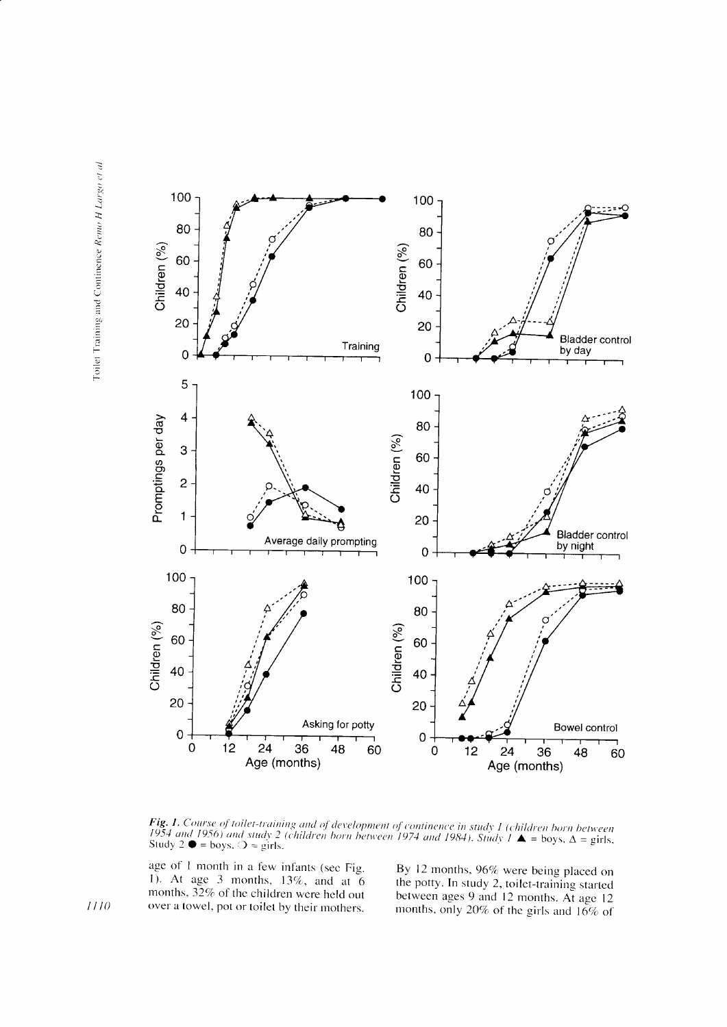

**Fig. 1.** Course of toilet-training and of development of continence in study 1 (children born between 1954 and 1956) and study 2 (children born between 1974 and 1984). Study  $1 \triangle$  = boys,  $\triangle$  = girls, Study 2  $\blacklozenge$  =

age of 1 month in a few infants (see Fig. 1). At age 3 months,  $13\%$ , and at 6 months,  $32\%$  of the children were held out over a towel, pot or toilet by their mothers.

By 12 months, 96% were being placed on the potty. In study 2, toilet-training started between ages 9 and 12 months. At age 12 months, only 20% of the girls and 16% of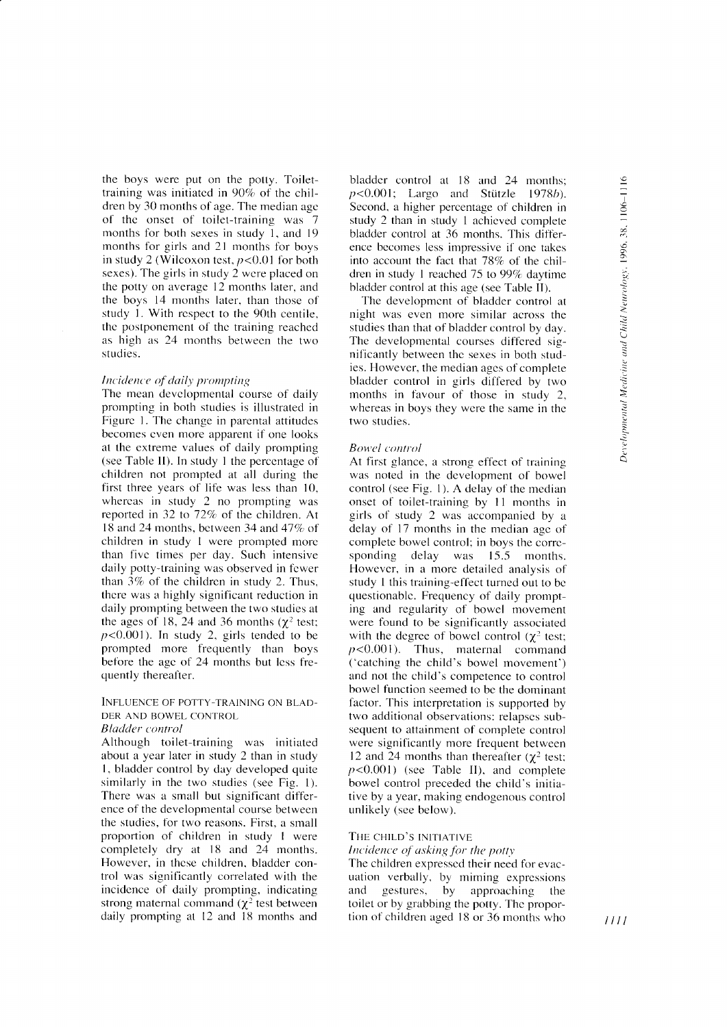the boys were put on the potty. Toilettraining was initiated in  $90\%$  of the children by 30 months of age. The median age of the onset of toilet-training was 7 months for both sexes in study 1, and 19 months for girls and 21 months for boys in study 2 (Wilcoxon test,  $p < 0.01$  for both sexes). The girls in study 2 wcre placed on the potty on average l2 months later, and the boys 14 months later. than those of study l. With rcspect to the 90th centile. thc postponement of thc training reached as high as 24 months between the two studies.

## Incidence of daily prompting

The mean developmental course of daily prornpting in both studies is illustrated in Figurc l. The change in parental attitudes becomes cven more apparent if one looks a1 the cxtreme values of daily prornpting (see Table ll). In study I the percentage of children not prompted at all during the first three years of life was less than 10, whereas in study 2 no prompting was reported in 32 to  $72\%$  of the children. At 18 and 24 months, between 34 and  $47\%$  of children in study 1 were prompted more than fivc times per day. Such intensive daily potty-training was observed in fewer than  $3\%$  of the children in study 2. Thus, there was a highly significant reduction in daily prompting between the two studies at the ages of 18, 24 and 36 months  $(\chi^2 \text{ test})$ :  $p<0.001$ ). In study 2, girls tended to be prompted more frequently than boys before the age of 24 months but less frequently thereafter.

# INFLUENCE OF POTTY-TRAINING ON BLAD-DER AND BOWEL CONTROL

## Bladder control

Although toilet-training was initiated about a year later in study 2 than in study l. bladder control by day developed quite similarly in the two studies (see Fig. l). There was a small but significant difference of the developmental course between the studies, for two reasons. First, a small proportion of children in study I were completely dry at 18 and 24 months. However, in these children, bladder control was significantly correlated with the incidence of daily prompting, indicating strong maternal command ( $\chi^2$  test between daily prompting at  $12$  and  $18$  months and bladder control at 18 and 24 months:  $p$ <0.001; Largo and Stützle 1978b). Second, a higher percentage of children in. study 2 than in study I achicved complele bladder control at 36 months. This difference bccomes less impressive if onc takes into account the fact that  $78\%$  of the children in study 1 reached  $75$  to  $99\%$  daytime bladder control at this age (see Table II).

The developmcnt of bladder control at night was even more sirnilar across the studies than that of bladder control by day. The developmental courses differed significantly between the sexes in both studies. However, the median agcs of complete bladder control in girls differed by two months in favour of those in study 2, whereas in boys they were the same in the two studies.

## **Bowel** control

At first glance, a strong effect of training was noted in the development of bowel control (see Fig. 1). A delay of the median onset of toilet-training by 11 months in girls of study 2 was accompanied by a delay of 17 months in the median age of complete bowel control; in boys the corre-<br>sponding delay was 15.5 months. was 15.5 months. However, in a more detailed analysis of study 1 this training-effect turned out to be questionablc. Frequency of daily prompting and regularity of bowel movement were found to be significantly associated with the degree of bowel control ( $\chi^2$  test;  $p<0.001$ ). Thus, maternal command ('catching the child's bowel movement') and not thc child's competence to control bowel function seemed to bc the dominant factor. This interpretation is supported by two additional observations: relapses subsequent to attainment of complete control were significantly more frequent between 12 and 24 months than thereafter ( $\gamma^2$  test;  $p<0.001$ ) (see Table II), and complete bowel control preceded the child's initiative by a year, making endogenous control unlikely (see below).

# THE CHILD'S INITIATIVE

Incidence of asking for the potty

The children expressed their need for evacuation verbally, by miming expressions and gestures, by approaching the toilet or by grabbing the potty. Thc proportion of children aged 18 or 36 months who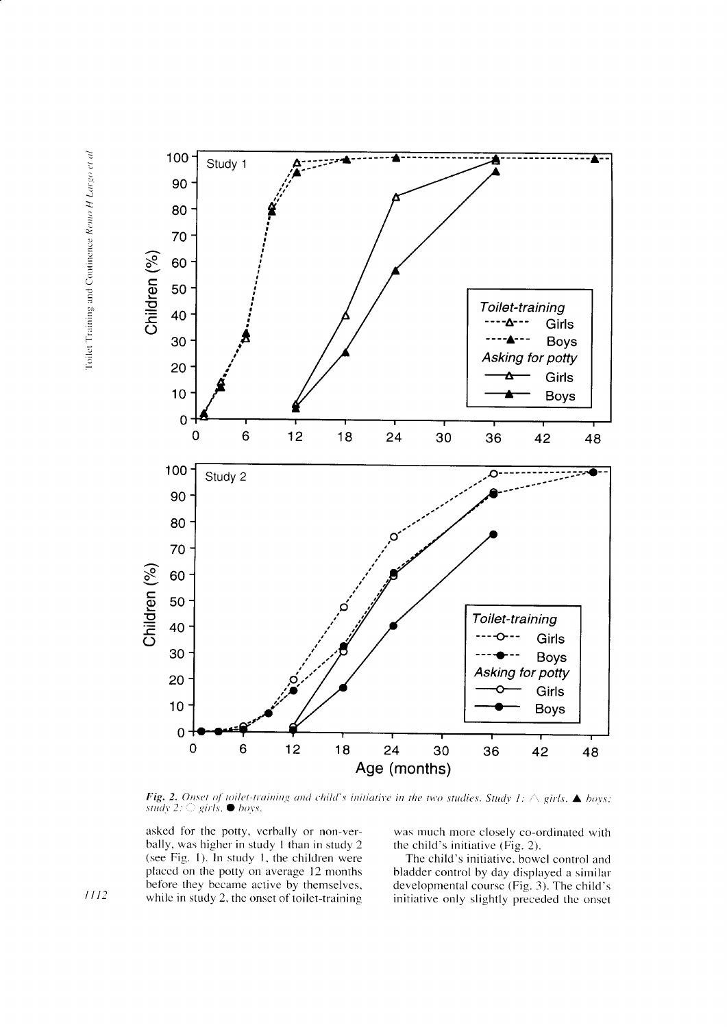

Fig. 2. Onset of toilet-training and child's initiative in the two studies. Study 1:  $\triangle$  girls,  $\triangle$  boys; study 2:  $\bigcirc$  girls,  $\bullet$  boys.

asked for the potty, verbally or non-verbally, was higher in study 1 than in study 2 (see Fig. 1). In study 1, the children were placed on the potty on average 12 months before they became active by themselves, while in study 2, the onset of toilet-training

was much more closely co-ordinated with the child's initiative (Fig. 2).

The child's initiative, bowel control and bladder control by day displayed a similar developmental course (Fig. 3). The child's initiative only slightly preceded the onset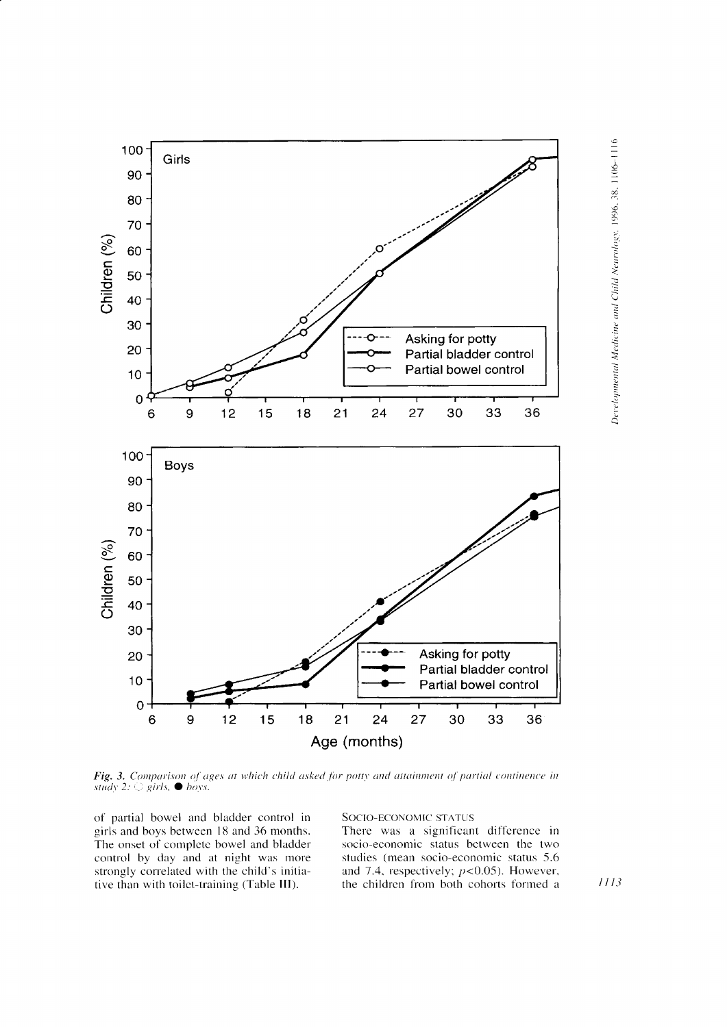

**Fig. 3.** Comparison of ages at which child asked for potty and attainment of partial continence in study 2:  $\bigcirc$  girls,  $\bullet$  boys.

of partial bowel and bladder control in girls and boys between 18 and 36 months. The onset of complete bowel and bladder control by day and at night was more strongly correlated with the child's initiative than with toilet-training (Table III).

SOCIO-ECONOMIC STATUS

There was a significant difference in socio-economic status between the two studies (mean socio-economic status 5.6 and 7.4, respectively;  $p<0.05$ ). However, the children from both cohorts formed a Developmental Medicine and Child Neurology, 1996, 38, 1106-1116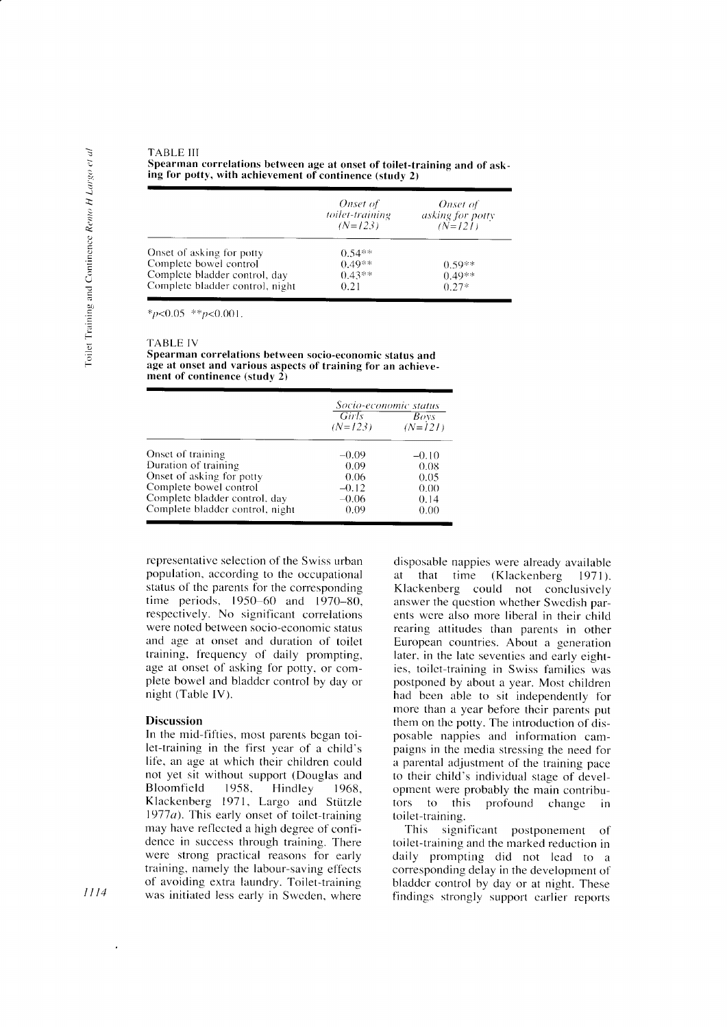**TARLE III** Spearman correlations between age at onset of toilet-training and of asking for potty, with achievement of continence (study 2)

|                                 | Onset of<br>toilet-training<br>$(N=123)$ | Onset of<br><i>asking for potty</i><br>$(N=121)$ |
|---------------------------------|------------------------------------------|--------------------------------------------------|
| Onset of asking for potty       | $0.54**$                                 |                                                  |
| Complete bowel control          | $0.49**$                                 | $0.59**$                                         |
| Complete bladder control, day   | $0.43**$                                 | $0.49**$                                         |
| Complete bladder control, night | 0.21                                     | $0.27*$                                          |

\* $p<0.05$  \*\* $p<0.001$ .

**TABLE IV** 

Spearman correlations between socio-economic status and age at onset and various aspects of training for an achievement of continence (study  $2$ )

|                                 |                    | Socio-economic status |
|---------------------------------|--------------------|-----------------------|
|                                 | Girls<br>$(N=123)$ | Boys<br>$(N=121)$     |
| Onset of training               | $-0.09$            | $-0.10$               |
| Duration of training            | 0.09               | 0.08                  |
| Onset of asking for potty       | 0.06               | 0.05                  |
| Complete bowel control          | $-0.12$            | 0.00                  |
| Complete bladder control, day   | $-0.06$            | 0.14                  |
| Complete bladder control, night | 0.09               | 0.00                  |

representative selection of the Swiss urban population, according to the occupational status of the parents for the corresponding time periods, 1950–60 and 1970–80, respectively. No significant correlations were noted between socio-economic status and age at onset and duration of toilet training, frequency of daily prompting. age at onset of asking for potty, or complete bowel and bladder control by day or night (Table IV).

#### **Discussion**

In the mid-fifties, most parents began toilet-training in the first year of a child's life, an age at which their children could not yet sit without support (Douglas and Bloomfield 1958. Hindley 1968. Klackenberg 1971, Largo and Stützle 1977 $a$ ). This early onset of toilet-training may have reflected a high degree of confidence in success through training. There were strong practical reasons for early training, namely the labour-saving effects of avoiding extra laundry. Toilet-training was initiated less early in Sweden, where

disposable nappies were already available at that time (Klackenberg 1971). Klackenberg could not conclusively answer the question whether Swedish parents were also more liberal in their child rearing attitudes than parents in other European countries. About a generation later, in the late seventies and early eighties, toilet-training in Swiss families was postponed by about a year. Most children had been able to sit independently for more than a year before their parents put them on the potty. The introduction of disposable nappies and information campaigns in the media stressing the need for a parental adjustment of the training pace to their child's individual stage of development were probably the main contributors to this profound change - in toilet-training.

This significant postponement of toilet-training and the marked reduction in daily prompting did not lead to a corresponding delay in the development of bladder control by day or at night. These findings strongly support earlier reports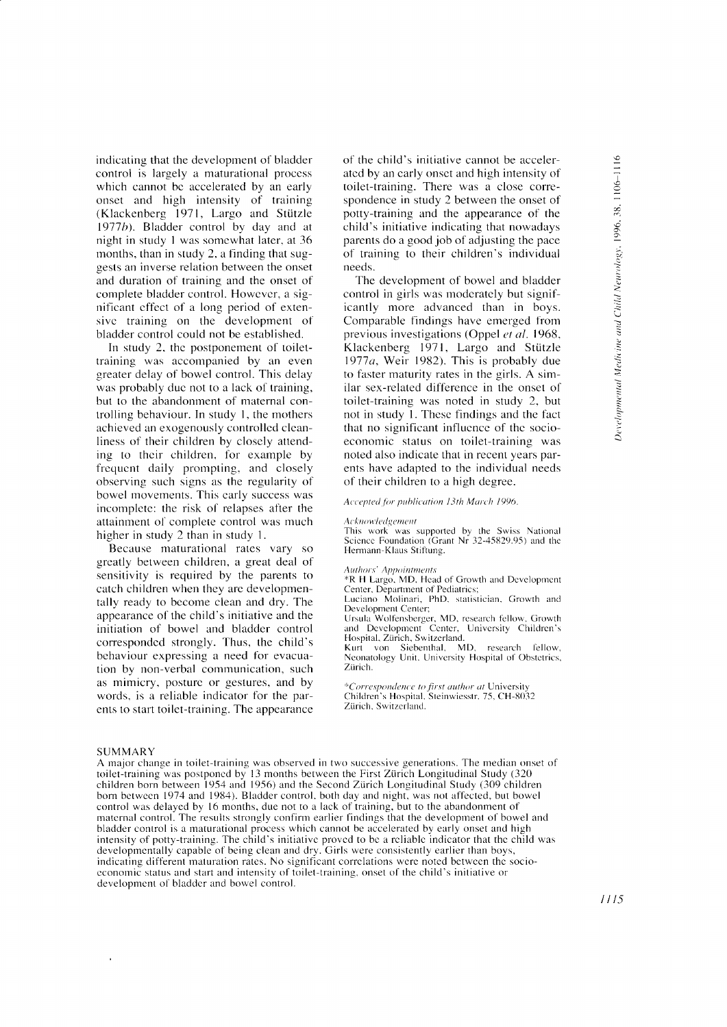€ 996.

z

ب<br>--:ii ine.

<u>:</u>

indicating that the development of bladder control is largely a maturational proccss which cannot be accelerated by an early onset and high intensity of training (Klackenberg 1971, Largo and Stützle 1977 $b$ ). Bladder control by day and at night in study 1 was somewhat later, at 36 months, than in study 2, a finding that suggests an inverse relation between the onset and duration of fraining and the onset of complete bladder control. However, a significant effect of a long period of extensivc training on the development of bladder control could not be established.

In study 2, the postponement of toilettraining was accompanied by an even greater delay of bowel control. This delay was probably due not to a lack of training, but to the abandonment of maternal controlling behaviour. In study l, the mothers achieved an exogenously controllcd clcanliness of their children by closcly attending to thcir children. for example by frequent daily prompting, and closely observing such signs as the regularity of bowel movements. This carly success was inconrplctc: the risk of relapses after the attainment of complete control was much higher in study 2 than in study l.

Because maturational rates vary so greatly belween children, a great deal of sensitivity is required by the parents to catch children when they arc developmentally ready to become clean and dry. The appearance of the child's initiative and the initiation of bowel and bladder control corresponded strongly. Thus, the child's behaviour expressing a need for evacuation by non-verbal communication, such as mimicry, posture or gestures, and by words, is a reliable indicator for the parents to start toilet-training. The appearance of the child's initiative cannot be accelerated by an early onset and high intensity of toilet-training. There was a close correspondence in study 2 between the onset of potty-training and the appearance of the child's initiative indicating that nowadays parents do a good job of adjusting the pace of training to their children's individual needs.

The development of bowel and bladder control in girls was modcratcly but signif- icantly more advanced than in boys. Comparable findings have emerged from previous investigations (Oppel et al. 1968, Klackenberg 1971, Largo and Stützle 1977a, Weir 1982). This is probably due to faster maturity rates in the girls. A similar sex-related difference in the onset of toilet-training was noted in study 2, but not in study 1. These findings and the fact that no significant influcncc of thc socioeconomic status on toilet-training was noted also indicate that in recent years parents have adapted to the individual needs of their children to a high degree.

# Accepted for publication 13th March 1996.

#### Acknowledgement

This work was supported by the Swiss National Science Foundation (Grant Nr 32-45829.95) and the Hermann-Klaus Stiftung.

#### Authors' Appointments

\*R H Largo, MD, Head of Growth and Development Center, Department of Pediatrics;

Luciano Molinari, PhD. statistician, Growth and Development Center;

Ursula Wolfensberger, MD, research fellow, Growth and Development Center, University Children's Hospital, Zürich, Switzerland.

Kurt von Siebenthal, MD, research fellow, Neonatology Unit. University Hospital of Obstetrics, Ziirich.

\*Correspondence to first author at University<br>Children's Hospital, Steinwiesstr. 75, CH-8032 Zürich, Switzerland.

#### **SUMMARY**

A major change in toilet-training was observed in two successive generations. The median onset of toilet-training was postponcd by l3 months between the First Ziirich Longitudinal Study (320 children born between 1954 and 1956) and the Second Zürich Longitudinal Study (309 children born between 1974 and 1984). Bladder control, both day and night, was not affected, but bowel control was delayed by 16 months, due not to a lack of training, but to the abandonment of maternal control. The results strongly confirm earlier findings that the development of bowel and bladder control is a maturational process which cannot be accelerated by early onset and high intensity of potty-training. The child's initiative proved to be a reliable indicator that the child was developmentally capable of being clean and dry. Girls were consistently earlier than boys, indicating different maturation rates. No significant correlations were noted between the socioeconomic status and start and intensity of toilet-training, onset of the child's initiative or development of bladder and bowel control.